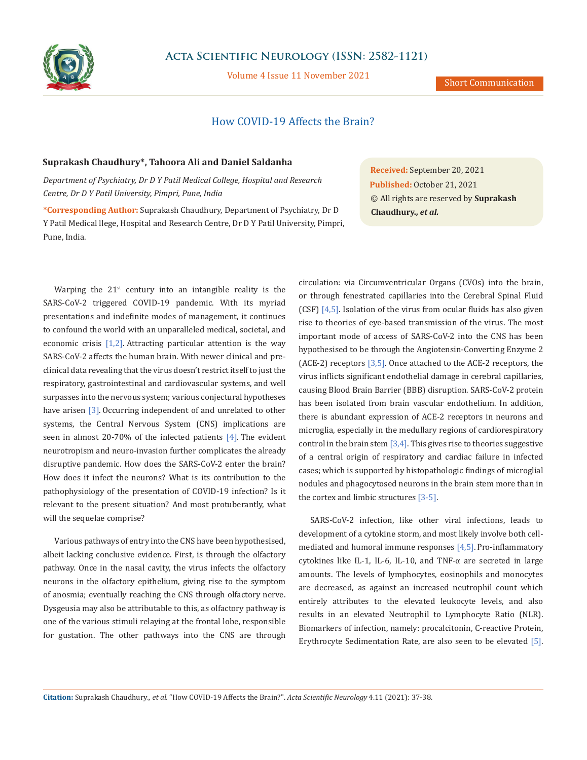

Volume 4 Issue 11 November 2021

## How COVID-19 Affects the Brain?

## **Suprakash Chaudhury\*, Tahoora Ali and Daniel Saldanha**

*Department of Psychiatry, Dr D Y Patil Medical College, Hospital and Research Centre, Dr D Y Patil University, Pimpri, Pune, India*

**\*Corresponding Author:** Suprakash Chaudhury, Department of Psychiatry, Dr D Y Patil Medical llege, Hospital and Research Centre, Dr D Y Patil University, Pimpri, Pune, India.

Warping the  $21^{st}$  century into an intangible reality is the SARS-CoV-2 triggered COVID-19 pandemic. With its myriad presentations and indefinite modes of management, it continues to confound the world with an unparalleled medical, societal, and economic crisis [1,2]. Attracting particular attention is the way SARS-CoV-2 affects the human brain. With newer clinical and preclinical data revealing that the virus doesn't restrict itself to just the respiratory, gastrointestinal and cardiovascular systems, and well surpasses into the nervous system; various conjectural hypotheses have arisen [3]. Occurring independent of and unrelated to other systems, the Central Nervous System (CNS) implications are seen in almost 20-70% of the infected patients [4]. The evident neurotropism and neuro-invasion further complicates the already disruptive pandemic. How does the SARS-CoV-2 enter the brain? How does it infect the neurons? What is its contribution to the pathophysiology of the presentation of COVID-19 infection? Is it relevant to the present situation? And most protuberantly, what will the sequelae comprise?

Various pathways of entry into the CNS have been hypothesised, albeit lacking conclusive evidence. First, is through the olfactory pathway. Once in the nasal cavity, the virus infects the olfactory neurons in the olfactory epithelium, giving rise to the symptom of anosmia; eventually reaching the CNS through olfactory nerve. Dysgeusia may also be attributable to this, as olfactory pathway is one of the various stimuli relaying at the frontal lobe, responsible for gustation. The other pathways into the CNS are through

**Received:** September 20, 2021 **Published:** October 21, 2021 © All rights are reserved by **Suprakash Chaudhury.,** *et al.*

circulation: via Circumventricular Organs (CVOs) into the brain, or through fenestrated capillaries into the Cerebral Spinal Fluid (CSF)  $[4,5]$ . Isolation of the virus from ocular fluids has also given rise to theories of eye-based transmission of the virus. The most important mode of access of SARS-CoV-2 into the CNS has been hypothesised to be through the Angiotensin-Converting Enzyme 2 (ACE-2) receptors [3,5]. Once attached to the ACE-2 receptors, the virus inflicts significant endothelial damage in cerebral capillaries, causing Blood Brain Barrier (BBB) disruption. SARS-CoV-2 protein has been isolated from brain vascular endothelium. In addition, there is abundant expression of ACE-2 receptors in neurons and microglia, especially in the medullary regions of cardiorespiratory control in the brain stem  $[3,4]$ . This gives rise to theories suggestive of a central origin of respiratory and cardiac failure in infected cases; which is supported by histopathologic findings of microglial nodules and phagocytosed neurons in the brain stem more than in the cortex and limbic structures [3-5].

SARS-CoV-2 infection, like other viral infections, leads to development of a cytokine storm, and most likely involve both cellmediated and humoral immune responses  $[4,5]$ . Pro-inflammatory cytokines like IL-1, IL-6, IL-10, and TNF- $\alpha$  are secreted in large amounts. The levels of lymphocytes, eosinophils and monocytes are decreased, as against an increased neutrophil count which entirely attributes to the elevated leukocyte levels, and also results in an elevated Neutrophil to Lymphocyte Ratio (NLR). Biomarkers of infection, namely: procalcitonin, C-reactive Protein, Erythrocyte Sedimentation Rate, are also seen to be elevated [5].